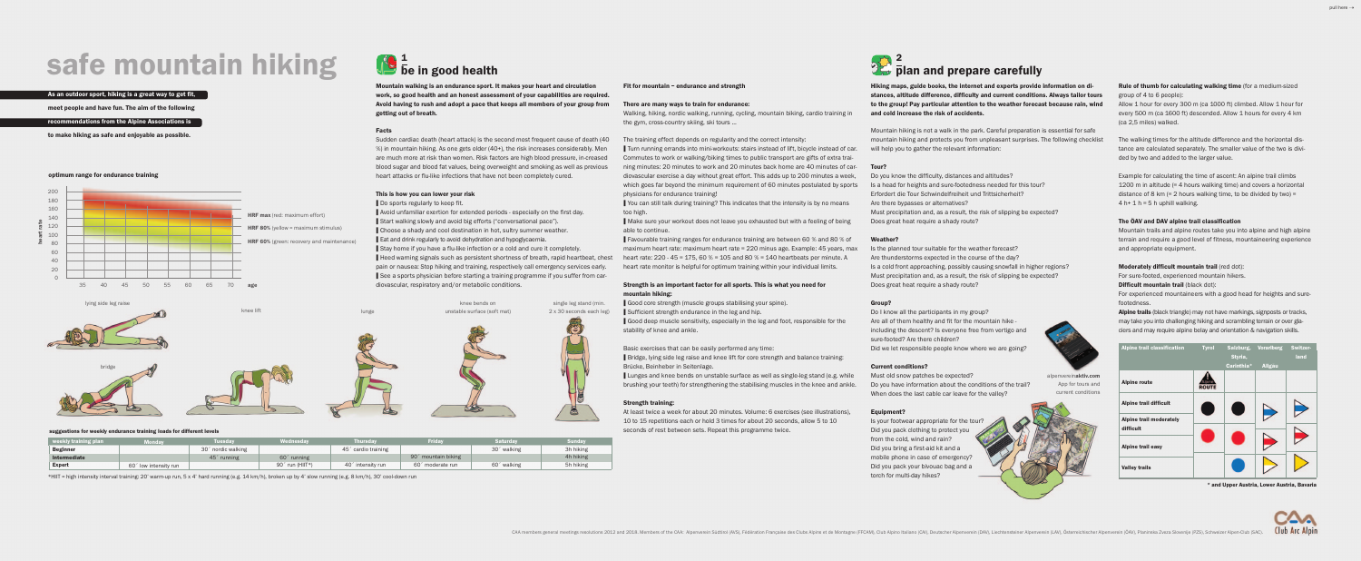# safe mountain hiking

#### As an outdoor sport, hiking is a great way to get fit,

#### Facts

Sudden cardiac death (heart attack) is the second most frequent cause of death (40 %) in mountain hiking. As one gets older (40+), the risk increases considerably. Men are much more at risk than women. Risk factors are high blood pressure, in-creased blood sugar and blood fat values, being overweight and smoking as well as previous heart attacks or flu-like infections that have not been completely cured.

#### This is how you can lower your risk

■ Do sports regularly to keep fit.

❙ Avoid unfamiliar exertion for extended periods - especially on the first day. ■ Start walking slowly and avoid big efforts ("conversational pace"). ■ Choose a shady and cool destination in hot, sultry summer weather. ■ Eat and drink regularly to avoid dehydration and hypoglycaemia. ■ Stay home if you have a flu-like infection or a cold and cure it completely. ■ Heed warning signals such as persistent shortness of breath, rapid heartbeat, chest pain or nausea: Stop hiking and training, respectively call emergency services early. ■ See a sports physician before starting a training programme if you suffer from cardiovascular, respiratory and/or metabolic conditions.

■ You can still talk during training? This indicates that the intensity is by no means too high.

■ Make sure your workout does not leave you exhausted but with a feeling of being able to continue.

Fit for mountain – endurance and strength

■ Favourable training ranges for endurance training are between 60 % and 80 % of maximum heart rate: maximum heart rate = 220 minus age. Example: 45 years, max heart rate:  $220 - 45 = 175$ ,  $60\% = 105$  and  $80\% = 140$  heartbeats per minute. A heart rate monitor is helpful for optimum training within your individual limits.

### There are many ways to train for endurance: Walking, hiking, nordic walking, running, cycling, mountain biking, cardio training in the gym, cross-country skiing, ski tours ...

■ Lunges and knee bends on unstable surface as well as single-leg stand (e.g. while brushing your teeth) for strengthening the stabilising muscles in the knee and ankle.

The training effect depends on regularity and the correct intensity: **I** Turn running errands into mini-workouts: stairs instead of lift, bicycle instead of car. Commutes to work or walking/biking times to public transport are gifts of extra training minutes: 20 minutes to work and 20 minutes back home are 40 minutes of cardiovascular exercise a day without great effort. This adds up to 200 minutes a week, which goes far beyond the minimum requirement of 60 minutes postulated by sports physicians for endurance training!

Mountain hiking is not a walk in the park. Careful preparation is essential for safe mountain hiking and protects you from unpleasant surprises. The following checklist will help you to gather the relevant information:

#### Strength is an important factor for all sports. This is what you need for mountain hiking:

❙ Good core strength (muscle groups stabilising your spine). ■ Sufficient strength endurance in the leg and hip. ■ Good deep muscle sensitivity, especially in the leg and foot, responsible for the stability of knee and ankle.

Basic exercises that can be easily performed any time: ■ Bridge, lying side leg raise and knee lift for core strength and balance training: Brücke, Beinheber in Seitenlage.

> Is your footwear appropriate for the tour' Did you pack clothing to protect you from the cold, wind and rain? Did you bring a first-aid kit and a mobile phone in case of emergency? Did you pack your bivouac bag and a torch for multi-day hikes?

Example for calculating the time of ascent: An alpine trail climbs 1200 m in altitude (= 4 hours walking time) and covers a horizontal distance of 8 km  $(= 2$  hours walking time, to be divided by two) =  $4 h+ 1 h = 5 h$  uphill walking.

#### Strength training:

At least twice a week for about 20 minutes. Volume: 6 exercises (see illustrations), 10 to 15 repetitions each or hold 3 times for about 20 seconds, allow 5 to 10 seconds of rest between sets. Repeat this programme twice.

meet people and have fun. The aim of the following

#### recommendations from the Alpine Associations is

Alpine trails (black triangle) may not have markings, signposts or tracks, may take you into challenging hiking and scrambling terrain or over glaciers and may require alpine belay and orientation & navigation skills.

to make hiking as safe and enjoyable as possible.

single leg stand (min. 2 x 30 seconds each leg) knee bends on knee lift lunge unstable surface (soft mat) lunge unstable surface (soft mat)

Mountain walking is an endurance sport. It makes your heart and circulation work, so good health and an honest assessment of your capabilities are required. Avoid having to rush and adopt a pace that keeps all members of your group from getting out of breath.

# plan and prepare carefully 2

Hiking maps, guide books, the internet and experts provide information on distances, altitude difference, difficulty and current conditions. Always tailor tours to the group! Pay particular attention to the weather forecast because rain, wind and cold increase the risk of accidents.

#### Tour?

Do you know the difficulty, distances and altitudes? Is a head for heights and sure-footedness needed for this tour? Erfordert die Tour Schwindelfreiheit und Trittsicherheit? Are there bypasses or alternatives? Must precipitation and, as a result, the risk of slipping be expected? Does great heat require a shady route?

## Weather?

Is the planned tour suitable for the weather forecast? Are thunderstorms expected in the course of the day? Is a cold front approaching, possibly causing snowfall in higher regions? Must precipitation and, as a result, the risk of slipping be expected? Does great heat require a shady route?

## Group?

Do I know all the participants in my group? Are all of them healthy and fit for the mountain hike including the descent? Is everyone free from vertigo and sure-footed? Are there children? Did we let responsible people know where we are going?

#### Current conditions?

Must old snow patches be expected? Do you have information about the conditions of the trail? When does the last cable car leave for the valley?

### Equipment?

#### Rule of thumb for calculating walking time (for a medium-sized group of 4 to 6 people):

Allow 1 hour for every 300 m (ca 1000 ft) climbed. Allow 1 hour for every 500 m (ca 1600 ft) descended. Allow 1 hours for every 4 km (ca 2,5 miles) walked.

The walking times for the altitude difference and the horizontal distance are calculated separately. The smaller value of the two is divided by two and added to the larger value.

#### The ÖAV and DAV alpine trail classification

Mountain trails and alpine routes take you into alpine and high alpine terrain and require a good level of fitness, mountaineering experience and appropriate equipment.

#### Moderately difficult mountain trail (red dot):

For sure-footed, experienced mountain hikers.

Difficult mountain trail (black dot):

For experienced mountaineers with a good head for heights and surefootedness.

\*HIIT = high intensity interval training: 20' warm-up run, 5 x 4' hard running (e.g. 14 km/h), broken up by 4' slow running (e.g. 8 km/h), 30' cool-down run

#### suggestions for weekly endurance training loads for different levels

lying side leg raise



# $\sqrt{\frac{1}{6}}$  be in good health

bridge

#### optimum range for endurance training

| weekly training plan | <b>Monday</b>             | <b>Tuesdav</b>                                    | <b>Wednesdav</b>            | <b>Thursdav</b>                                    | <b>Friday</b>                                      | <b>Saturdav</b>         | <b>Sundav</b> |
|----------------------|---------------------------|---------------------------------------------------|-----------------------------|----------------------------------------------------|----------------------------------------------------|-------------------------|---------------|
| <b>Beginner</b>      |                           | 30 <sup><math>\degree</math></sup> nordic walking |                             | 45 <sup><math>\degree</math></sup> cardio training |                                                    | 30 <sup>'</sup> walking | 3h hiking     |
| Intermediate         |                           | 45 <sup>c</sup> running                           | $602$ running               |                                                    | 90 <sup><math>\degree</math></sup> mountain biking |                         | 4h hiking     |
| <b>Expert</b>        | í low intensity run<br>60 |                                                   | 90 <sup>c</sup> run (HIIT*) | 40 <sup><math>\degree</math></sup> intensity run   | 60 <sup><math>\degree</math></sup> moderate run    | 60 <sup>'</sup> walking | 5h hiking     |

| <b>Alpine trail classification</b>          | <b>Tyrol</b> | Salzburg,<br>Styria,<br>Carinthia* | <b>Vorarlberg</b><br><b>Allgäu</b> | Switzer-<br>land |
|---------------------------------------------|--------------|------------------------------------|------------------------------------|------------------|
| <b>Alpine route</b>                         | <b>ROUTE</b> |                                    |                                    |                  |
| <b>Alpine trail difficult</b>               |              |                                    |                                    |                  |
| <b>Alpine trail moderately</b><br>difficult |              |                                    |                                    |                  |
| Alpine trail easy                           |              |                                    |                                    |                  |
| <b>Valley trails</b>                        |              |                                    |                                    |                  |

alpenvereinaktiv.com

App for tours and current conditions



\* and Upper Austria, Lower Austria, Bavaria